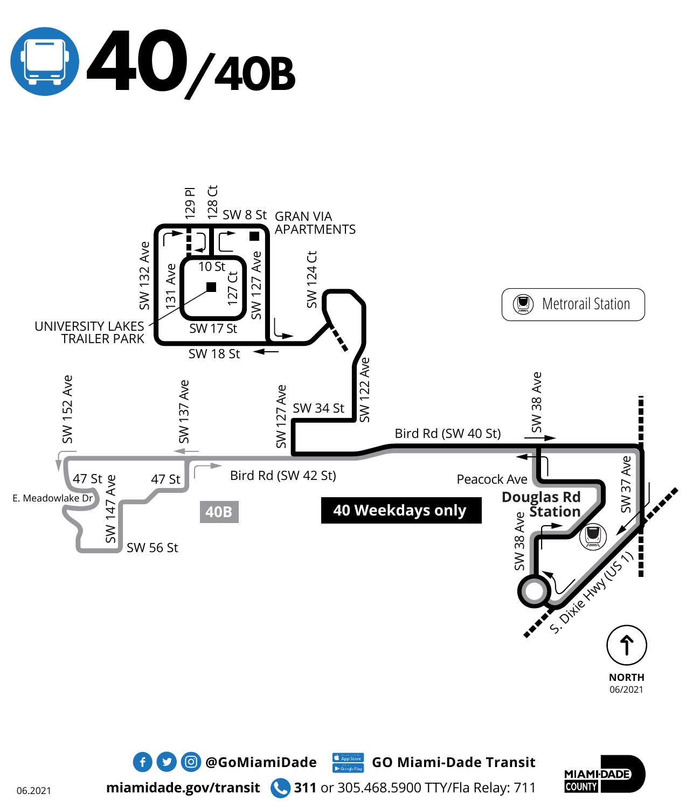





 $\bullet$  **0 @GoMiamiDade** GO Miami-Dade Transit

**miamidade.gov/transit 311** or 305.468.5900 TTY/Fla Relay: 711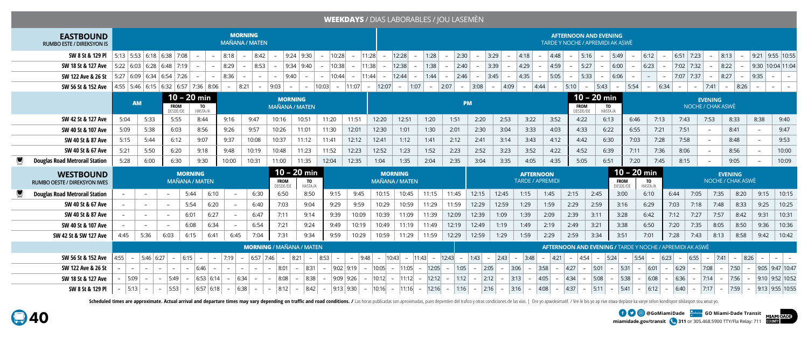**miamidade.gov/transit 311** or 305.468.5900 TTY/Fla Relay: 711

**@GoMiamiDade GO Miami-Dade Transit**







# **WEEKDAYS** / DIAS LABORABLES / JOU LASEMÈN

| <b>EASTBOUND</b><br><b>RUMBO ESTE / DIREKSYON IS</b>           |                                         |                          |                          |                                  |                                                |          | <b>MORNING</b><br><b>MAÑANA / MATEN</b> |                                 |                                          |               |                                    |                          |                                    |                                         |        |        |                                                                                                        |                |                         |                  |                    | <b>AFTERNOON AND EVENING</b><br><b>TARDE Y NOCHE / APREMIDI AK ASWÈ</b> |               |                                                                 |               |                          |               |                |                                     |      |      |                    |
|----------------------------------------------------------------|-----------------------------------------|--------------------------|--------------------------|----------------------------------|------------------------------------------------|----------|-----------------------------------------|---------------------------------|------------------------------------------|---------------|------------------------------------|--------------------------|------------------------------------|-----------------------------------------|--------|--------|--------------------------------------------------------------------------------------------------------|----------------|-------------------------|------------------|--------------------|-------------------------------------------------------------------------|---------------|-----------------------------------------------------------------|---------------|--------------------------|---------------|----------------|-------------------------------------|------|------|--------------------|
| <b>SW 8 St &amp; 129 PI</b>   5:13   5:53   6:18   6:38   7:08 |                                         |                          |                          |                                  | $\overline{a}$                                 | $-$ 8:18 | $-$ 8:42                                |                                 | $9:24$ 9:30                              |               | 10:28 <br>$\overline{a}$           | $\overline{\phantom{0}}$ | 11:28 <br>$-$                      | 12:28<br>$\sim$                         | 1:28   | $-$    | 2:30                                                                                                   | 3:29           | 4:18                    |                  | $ 4:48 $ -         | $ 5:16  -  5:49 $                                                       |               | $\sim$                                                          | 6:12          | $-$                      | $6:51$ 7:23   |                | 8:13<br>$\overline{a}$              |      | 9:21 | $9:55$ 10:55       |
| SW 18 St & 127 Ave                                             |                                         |                          |                          | 5:22   6:03   6:28   6:48   7:19 | $\sim$                                         | $-$ 8:29 | $\overline{a}$                          | 8:53                            | 9:34 9:40                                |               | 10:38                              |                          | 11:38 <br>$\overline{\phantom{0}}$ | 12:38<br>$\overline{a}$                 | 1:38   |        | 2:40                                                                                                   | 3:39           | 4:29                    |                  | 4:59 <br>$\sim$    | 5:27                                                                    | $-$ 6:00      |                                                                 | $-$ 6:23      | $\overline{\phantom{0}}$ | $7:02$ 7:32   |                | 8:22                                |      |      | 9:30  10:04  11:04 |
| SW 122 Ave & 26 St                                             |                                         |                          |                          | 5:27   6:09   6:34   6:54   7:26 | $\sim$                                         | $-$ 8:36 |                                         |                                 | 9:40                                     | $\sim$        | 10:44 <br>$\overline{\phantom{0}}$ | $\sim$                   | $ 11:44  -$                        | 12:44<br>$\sim$ $-$                     | 1:44   | $\sim$ | 2:46<br>$\sim$                                                                                         | 3:45<br>$\sim$ | $ 4:35 $ –              |                  | $5:05$ -           | 5:33                                                                    | $\sim$        | 6:06                                                            |               |                          | $7:07$ 7:37 - |                | 8:27                                |      | 9:35 |                    |
| SW 56 St & 152 Ave                                             |                                         |                          |                          |                                  | 4:55   5:46   6:15   6:32   6:57   7:36   8:06 |          |                                         | $-$ 8:21 - 9:03 - - 10:03       |                                          |               |                                    | $-$  11:07               | 12:07                              | $\vert 1:07 \vert$<br>$\sim$            | $\sim$ | 2:07   | $-$ 3:08                                                                                               | $-$ 4:09       |                         | $-$ 4:44 $-$     |                    | $ 5:10$ - 5:43                                                          |               | 5:54<br>$-$                                                     |               | 6:34                     |               | $\sim$         | 7:41                                | 8:26 |      |                    |
|                                                                |                                         | <b>AM</b>                |                          |                                  | $10 - 20$ min                                  |          |                                         |                                 | <b>MORNING</b>                           |               |                                    |                          |                                    |                                         |        |        | PM                                                                                                     |                |                         |                  |                    | $10 - 20$ min                                                           |               |                                                                 |               |                          |               | <b>EVENING</b> |                                     |      |      |                    |
|                                                                |                                         |                          |                          | <b>FROM</b><br>DESDE/DE          | TO<br>HASTA/A                                  |          |                                         |                                 | <b>MAÑANA / MATEN</b>                    |               |                                    |                          |                                    |                                         |        |        |                                                                                                        |                |                         |                  |                    | <b>FROM</b><br>DESDE/DE                                                 | TO<br>HASTA/A |                                                                 |               |                          |               |                | NOCHE / CHAK ASWÈ                   |      |      |                    |
| SW 42 St & 127 Ave                                             | 5:04                                    |                          | 5:33                     | 5:55                             | 8:44                                           | 9:16     | 9:47                                    | 10:16                           | 10:51                                    |               | 11:20                              | 11:51                    | 12:20                              | 12:51                                   | 1:20   | 1:51   | 2:20                                                                                                   | 2:53           | 3:22                    |                  | 3:52               | 4:22                                                                    | 6:13          | 6:46                                                            |               | 7:13                     | 7:43          | 7:53           |                                     | 8:33 | 8:38 | 9:40               |
| SW 40 St & 107 Ave                                             | 5:09                                    |                          | 5:38                     | 6:03                             | 8:56                                           | 9:26     | 9:57                                    | 10:26                           |                                          | 11:01         | 11:30                              | 12:01                    | 12:30                              | 1:01                                    | 1:30   | 2:01   | 2:30                                                                                                   | 3:04           | 3:33                    |                  | 4:03               | 4:33                                                                    | 6:22          | 6:55                                                            |               | 7:21                     | 7:51          |                |                                     | 8:41 |      | 9:47               |
| SW 40 St & 87 Ave                                              | 5:15                                    |                          | 5:44                     | 6:12                             | 9:07                                           | 9:37     | 10:08                                   | 10:37                           |                                          | 11:12         | 11:41                              | 12:12                    | 12:41                              | 1:12                                    | 1:41   | 2:12   | 2:41                                                                                                   | 3:14           | 3:43                    |                  | 4:12               | 4:42                                                                    | 6:30          | 7:03                                                            |               | 7:28                     | 7:58          |                |                                     | 8:48 |      | 9:53               |
| SW 40 St & 67 Ave                                              | 5:21                                    |                          | 5:50                     | 6:20                             | 9:18                                           | 9:48     | 10:19                                   | 10:48                           |                                          | 11:23         | 11:52                              | 12:23                    | 12:52                              | 1:23                                    | 1:52   | 2:23   | 2:52                                                                                                   | 3:23           | 3:52                    |                  | 4:22               | 4:52                                                                    | 6:39          | 7:11                                                            |               | 7:36                     | 8:06          |                |                                     | 8:56 |      | 10:00              |
| <b>Douglas Road Metrorail Station</b>                          | 5:28                                    |                          | 6:00                     | 6:30                             | 9:30                                           | 10:00    | 10:31                                   | 11:00                           |                                          | 11:35         | 12:04                              | 12:35                    | 1:04                               | 1:35                                    | 2:04   | 2:35   | 3:04                                                                                                   | 3:35           | 4:05                    |                  | 4:35               | 5:05                                                                    | 6:51          | 7:20                                                            |               | 7:45                     | 8:15          |                |                                     | 9:05 |      | 10:09              |
|                                                                | <b>MORNING</b><br><b>MAÑANA / MATEN</b> |                          |                          |                                  |                                                |          |                                         |                                 |                                          |               |                                    |                          |                                    |                                         |        |        |                                                                                                        |                |                         |                  |                    |                                                                         |               |                                                                 |               |                          |               |                |                                     |      |      |                    |
| <b>WESTBOUND</b><br><b>RUMBO OESTE / DIREKSYON IWES</b>        |                                         |                          |                          |                                  |                                                |          |                                         |                                 | $10 - 20$ min<br><b>FROM</b><br>DESDE/DE | TO<br>HASTA/A |                                    |                          |                                    | <b>MORNING</b><br><b>MAÑANA / MATEN</b> |        |        |                                                                                                        |                | <b>TARDE / APREMIDI</b> | <b>AFTERNOON</b> |                    |                                                                         |               | $10 - 20$ min<br>DESDE/DE                                       | TO<br>HASTA/A |                          |               |                | <b>EVENING</b><br>NOCHE / CHAK ASWÈ |      |      |                    |
| <b>Douglas Road Metrorail Station</b>                          |                                         | $\overline{\phantom{0}}$ |                          | $-$                              | 5:44                                           | 6:10     |                                         | 6:30                            | 6:50                                     | 8:50          | 9:15                               | 9:45                     | 10:15                              | 10:45                                   | 11:15  | 11:45  | 12:15                                                                                                  | 12:45          | 1:15                    | 1:45             | 2:15               |                                                                         | 2:45          | 3:00                                                            | 6:10          |                          | 6:44          | 7:05           | 7:35                                | 8:20 | 9:15 | 10:15              |
| SW 40 St & 67 Ave                                              |                                         |                          |                          |                                  | 5:54                                           | 6:20     |                                         | 6:40                            | 7:03                                     | 9:04          | 9:29                               | 9:59                     | 10:29                              | 10:59                                   | 11:29  | 11:59  | 12:29                                                                                                  | 12:59          | 1:29                    | 1:59             | 2:29               |                                                                         | 2:59          | 3:16                                                            | 6:29          |                          | 7:03          | 7:18           | 7:48                                | 8:33 | 9:25 | 10:25              |
| SW 40 St & 87 Ave                                              |                                         |                          |                          |                                  | 6:01                                           | 6:27     |                                         | 6:47                            | 7:11                                     | 9:14          | 9:39                               | 10:09                    | 10:39                              | 11:09                                   | 11:39  | 12:09  | 12:39                                                                                                  | 1:09           | 1:39                    | 2:09             | 2:39               | 3:11                                                                    |               | 3:28                                                            | 6:42          |                          | 7:12          | 7:27           | 7:57                                | 8:42 | 9:31 | 10:31              |
| SW 40 St & 107 Ave                                             |                                         |                          |                          |                                  | 6:08                                           | 6:34     |                                         | 6:54                            | 7:21                                     | 9:24          | 9:49                               | 10:19                    | 10:49                              | 11:19                                   | 11:49  | 12:19  | 12:49                                                                                                  | 1:19           | 1:49                    | 2:19             | 2:49               | 3:21                                                                    |               | 3:38                                                            | 6:50          |                          | 7:20          | 7:35           | 8:05                                | 8:50 | 9:36 | 10:36              |
| SW 42 St & SW 127 Ave                                          | 4:45                                    | 5:36                     |                          | 6:03                             | 6:15                                           | 6:41     | 6:45                                    | 7:04                            | 7:31                                     | 9:34          | 9:59                               | 10:29                    | 10:59                              | 11:29                                   | 11:59  | 12:29  | 12:59                                                                                                  | 1:29           | 1:59                    | 2:29             | 2:59               |                                                                         | 3:34          | 3:51                                                            | 7:01          |                          | 7:28          | 7:43           | 8:13                                | 8:58 | 9:42 | 10:42              |
|                                                                |                                         |                          |                          |                                  |                                                |          |                                         | <b>MORNING / MAÑANA / MATEN</b> |                                          |               |                                    |                          |                                    |                                         |        |        |                                                                                                        |                |                         |                  |                    |                                                                         |               | <b>AFTERNOON AND EVENING / TARDE Y NOCHE / APREMIDI AK ASWÈ</b> |               |                          |               |                |                                     |      |      |                    |
| SW 56 St & 152 Ave                                             | 4:55                                    |                          |                          | $ 5:46 6:27  -  6:15  -$         |                                                | $-$ 7:19 | $\sim$                                  | $6:57$ 7:46                     | $-$ 8:21 $-$                             |               | 8:53 <br>$\overline{\phantom{0}}$  | $-$ 9:48 $-$             |                                    |                                         |        |        | $\begin{vmatrix} 10.43 & - & 11.43 \end{vmatrix}$ - $\begin{vmatrix} 12.43 & - & 1.43 \end{vmatrix}$ - |                | $ 2:43  -  3:48 $       | $-$              | 4:21<br>$\sim$ $-$ | 4:54                                                                    | 5:24          | $\sim$                                                          | 5:54          | $6:23$ –                 |               | 6:55           | $-$ 7:41                            | 8:26 |      |                    |
| SW 122 Ave & 26 St                                             |                                         |                          |                          |                                  | 6:46                                           |          |                                         |                                 | 8:01<br>$\overline{a}$                   | 8:31          | $-1$                               | $9:02$   9:19            |                                    | -   10:05 -   11:05 -   12:05 -         |        |        | 1:05<br>$\overline{\phantom{0}}$                                                                       | 2:05           | 3:06                    | 3:58             | 4:27               | $\sim$                                                                  | 5:01          | 5:31                                                            | 6:01          |                          | 6:29          | 7:08           |                                     | 7:50 |      | $9:05$ 9:47 10:47  |
| SW 18 St & 127 Ave                                             |                                         | 5:09                     | $\overline{\phantom{0}}$ | 5:49                             | $6:53$ 6:14                                    |          | 6:34                                    |                                 | 8:08 <br>$\overline{\phantom{0}}$        | 8:38          | 9:09 9:26 <br>$\sim$               |                          |                                    | $-$  10:12  $-$  11:12  $-$  12:12  $-$ |        |        | 1:12<br>$\sim$                                                                                         | 2:12           | 3:13                    | 4:05             | 4:34<br>$\sim$     | $\sim$                                                                  | 5:08          | 5:38                                                            | 6:08          |                          | 6:36          | 7:14           |                                     | 7:56 |      | $9:10$ 9:52 10:52  |

Scheduled times are approximate. Actual arrival and departure times may vary depending on traffic and road conditions. / Las horas publicadas son aproximadas, pues dependen del trafico y otras condiciones de las vias. | Or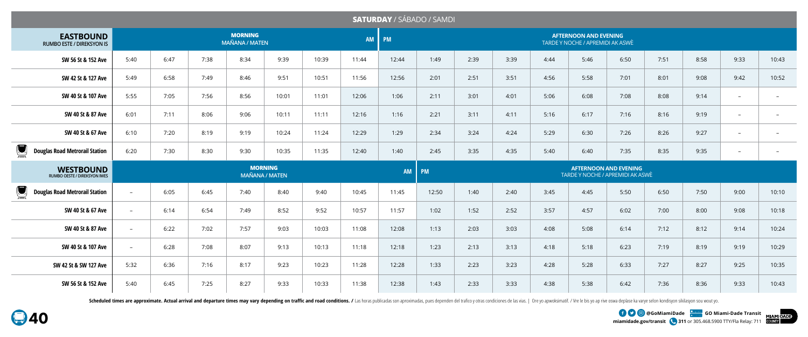**miamidade.gov/transit 311** or 305.468.5900 TTY/Fla Relay: 711 **EXAMPLE OF A GOOG COMIAMIDAde COMIAMI-Dade Transit** 





## **SATURDAY** / SÁBADO / SAMDI

| <b>EASTBOUND</b><br><b>RUMBO ESTE / DIREKSYON IS</b>                 |                                         |      |      | <b>MORNING</b><br><b>MAÑANA / MATEN</b> |       |       | AM    | <b>PM</b> |       |      |      |      |      |                                                                  |      |      |                          |                          |
|----------------------------------------------------------------------|-----------------------------------------|------|------|-----------------------------------------|-------|-------|-------|-----------|-------|------|------|------|------|------------------------------------------------------------------|------|------|--------------------------|--------------------------|
| SW 56 St & 152 Ave                                                   | 5:40                                    | 6:47 | 7:38 | 8:34                                    | 9:39  | 10:39 | 11:44 | 12:44     | 1:49  | 2:39 | 3:39 | 4:44 | 5:46 | 6:50                                                             | 7:51 | 8:58 | 9:33                     | 10:43                    |
| SW 42 St & 127 Ave                                                   | 5:49                                    | 6:58 | 7:49 | 8:46                                    | 9:51  | 10:51 | 11:56 | 12:56     | 2:01  | 2:51 | 3:51 | 4:56 | 5:58 | 7:01                                                             | 8:01 | 9:08 | 9:42                     | 10:52                    |
| SW 40 St & 107 Ave                                                   | 5:55                                    | 7:05 | 7:56 | 8:56                                    | 10:01 | 11:01 | 12:06 | 1:06      | 2:11  | 3:01 | 4:01 | 5:06 | 6:08 | 7:08                                                             | 8:08 | 9:14 | $\overline{\phantom{0}}$ |                          |
| SW 40 St & 87 Ave                                                    | 6:01                                    | 7:11 | 8:06 | 9:06                                    | 10:11 | 11:11 | 12:16 | 1:16      | 2:21  | 3:11 | 4:11 | 5:16 | 6:17 | 7:16                                                             | 8:16 | 9:19 | $\overline{\phantom{0}}$ | $\overline{\phantom{a}}$ |
| SW 40 St & 67 Ave                                                    | 6:10                                    | 7:20 | 8:19 | 9:19                                    | 10:24 | 11:24 | 12:29 | 1:29      | 2:34  | 3:24 | 4:24 | 5:29 | 6:30 | 7:26                                                             | 8:26 | 9:27 | $ \,$                    | $\overline{\phantom{a}}$ |
| $\sum_{i=1}^{n}$<br><b>Douglas Road Metrorail Station</b>            | 6:20                                    | 7:30 | 8:30 | 9:30                                    | 10:35 | 11:35 | 12:40 | 1:40      | 2:45  | 3:35 | 4:35 | 5:40 | 6:40 | 7:35                                                             | 8:35 | 9:35 | $\overline{\phantom{0}}$ |                          |
|                                                                      | <b>MORNING</b><br><b>MAÑANA / MATEN</b> |      |      |                                         |       |       |       |           |       |      |      |      |      |                                                                  |      |      |                          |                          |
| <b>WESTBOUND</b><br>RUMBO OESTE / DIREKSYON IWES                     |                                         |      |      |                                         |       |       |       | <b>AM</b> | PM    |      |      |      |      | <b>AFTERNOON AND EVENING</b><br>TARDE Y NOCHE / APREMIDI AK ASWÈ |      |      |                          |                          |
| $\left(\blacksquare\right)$<br><b>Douglas Road Metrorail Station</b> | $\overline{a}$                          | 6:05 | 6:45 | 7:40                                    | 8:40  | 9:40  | 10:45 | 11:45     | 12:50 | 1:40 | 2:40 | 3:45 | 4:45 | 5:50                                                             | 6:50 | 7:50 | 9:00                     | 10:10                    |
| SW 40 St & 67 Ave                                                    | $\overline{a}$                          | 6:14 | 6:54 | 7:49                                    | 8:52  | 9:52  | 10:57 | 11:57     | 1:02  | 1:52 | 2:52 | 3:57 | 4:57 | 6:02                                                             | 7:00 | 8:00 | 9:08                     | 10:18                    |
| SW 40 St & 87 Ave                                                    | $\sim$                                  | 6:22 | 7:02 | 7:57                                    | 9:03  | 10:03 | 11:08 | 12:08     | 1:13  | 2:03 | 3:03 | 4:08 | 5:08 | 6:14                                                             | 7:12 | 8:12 | 9:14                     | 10:24                    |
| SW 40 St & 107 Ave                                                   | $\sim$                                  | 6:28 | 7:08 | 8:07                                    | 9:13  | 10:13 | 11:18 | 12:18     | 1:23  | 2:13 | 3:13 | 4:18 | 5:18 | 6:23                                                             | 7:19 | 8:19 | 9:19                     | 10:29                    |
| SW 42 St & SW 127 Ave                                                | 5:32                                    | 6:36 | 7:16 | 8:17                                    | 9:23  | 10:23 | 11:28 | 12:28     | 1:33  | 2:23 | 3:23 | 4:28 | 5:28 | 6:33                                                             | 7:27 | 8:27 | 9:25                     | 10:35                    |

Scheduled times are approximate. Actual arrival and departure times may vary depending on traffic and road conditions. / Las horas publicadas son aproximadas, pues dependen del trafico y otras condiciones de las vias. | Or